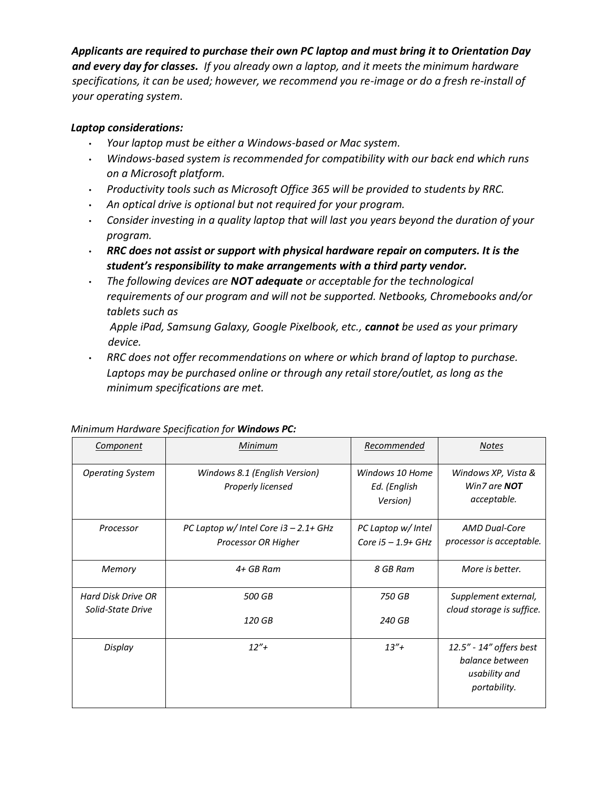## *Applicants are required to purchase their own PC laptop and must bring it to Orientation Day and every day for classes. If you already own a laptop, and it meets the minimum hardware specifications, it can be used; however, we recommend you re-image or do a fresh re-install of your operating system.*

## *Laptop considerations:*

- *Your laptop must be either a Windows-based or Mac system.*
- *Windows-based system is recommended for compatibility with our back end which runs on a Microsoft platform.*
- *Productivity tools such as Microsoft Office 365 will be provided to students by RRC.*
- *An optical drive is optional but not required for your program.*
- *Consider investing in a quality laptop that will last you years beyond the duration of your program.*
- *RRC does not assist or support with physical hardware repair on computers. It is the student's responsibility to make arrangements with a third party vendor.*
- *The following devices are NOT adequate or acceptable for the technological requirements of our program and will not be supported. Netbooks, Chromebooks and/or tablets such as* 
	- *Apple iPad, Samsung Galaxy, Google Pixelbook, etc., cannot be used as your primary device.*
- *RRC does not offer recommendations on where or which brand of laptop to purchase. Laptops may be purchased online or through any retail store/outlet, as long as the minimum specifications are met.*

| <b>Component</b>                        | Minimum                                                         | Recommended                                 | <b>Notes</b>                                                                |
|-----------------------------------------|-----------------------------------------------------------------|---------------------------------------------|-----------------------------------------------------------------------------|
| <b>Operating System</b>                 | Windows 8.1 (English Version)<br>Properly licensed              | Windows 10 Home<br>Ed. (English<br>Version) | Windows XP, Vista &<br>Win7 are <b>NOT</b><br>acceptable.                   |
| Processor                               | PC Laptop w/ Intel Core $i3 - 2.1 + GHz$<br>Processor OR Higher | PC Laptop w/ Intel<br>Core $i5 - 1.9 + GHz$ | <b>AMD Dual-Core</b><br>processor is acceptable.                            |
| Memory                                  | 4+ GB Ram                                                       | 8 GB Ram                                    | More is better.                                                             |
| Hard Disk Drive OR<br>Solid-State Drive | 500 GB<br>120 GB                                                | 750 GB                                      | Supplement external,<br>cloud storage is suffice.                           |
|                                         |                                                                 | 240 GB                                      |                                                                             |
| Display                                 | $12'' +$                                                        | $13'' +$                                    | 12.5" - 14" offers best<br>balance between<br>usability and<br>portability. |

## *Minimum Hardware Specification for Windows PC:*